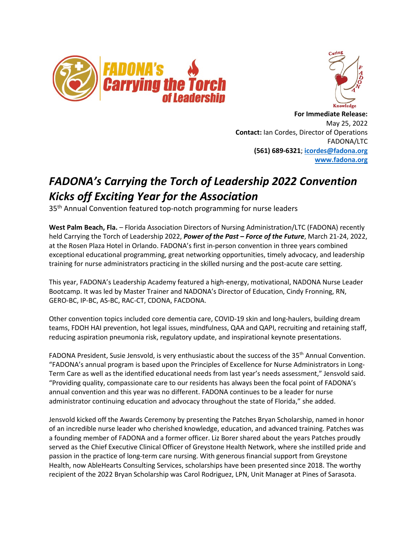



 **For Immediate Release:** May 25, 2022 **Contact:** Ian Cordes, Director of Operations FADONA/LTC **(561) 689-6321**; **[icordes@fadona.org](mailto:icordes@fadona.org) [www.fadona.org](http://www.fadona.org/)**

## *FADONA's Carrying the Torch of Leadership 2022 Convention Kicks off Exciting Year for the Association*

35<sup>th</sup> Annual Convention featured top-notch programming for nurse leaders

**West Palm Beach, Fla.** – Florida Association Directors of Nursing Administration/LTC (FADONA) recently held Carrying the Torch of Leadership 2022, *Power of the Past – Force of the Future*, March 21-24, 2022, at the Rosen Plaza Hotel in Orlando. FADONA's first in-person convention in three years combined exceptional educational programming, great networking opportunities, timely advocacy, and leadership training for nurse administrators practicing in the skilled nursing and the post-acute care setting.

This year, FADONA's Leadership Academy featured a high-energy, motivational, NADONA Nurse Leader Bootcamp. It was led by Master Trainer and NADONA's Director of Education, Cindy Fronning, RN, GERO-BC, IP-BC, AS-BC, RAC-CT, CDONA, FACDONA.

Other convention topics included core dementia care, COVID-19 skin and long-haulers, building dream teams, FDOH HAI prevention, hot legal issues, mindfulness, QAA and QAPI, recruiting and retaining staff, reducing aspiration pneumonia risk, regulatory update, and inspirational keynote presentations.

FADONA President, Susie Jensvold, is very enthusiastic about the success of the 35<sup>th</sup> Annual Convention. "FADONA's annual program is based upon the Principles of Excellence for Nurse Administrators in Long-Term Care as well as the identified educational needs from last year's needs assessment," Jensvold said. "Providing quality, compassionate care to our residents has always been the focal point of FADONA's annual convention and this year was no different. FADONA continues to be a leader for nurse administrator continuing education and advocacy throughout the state of Florida," she added.

Jensvold kicked off the Awards Ceremony by presenting the Patches Bryan Scholarship, named in honor of an incredible nurse leader who cherished knowledge, education, and advanced training. Patches was a founding member of FADONA and a former officer. Liz Borer shared about the years Patches proudly served as the Chief Executive Clinical Officer of Greystone Health Network, where she instilled pride and passion in the practice of long-term care nursing. With generous financial support from Greystone Health, now AbleHearts Consulting Services, scholarships have been presented since 2018. The worthy recipient of the 2022 Bryan Scholarship was Carol Rodriguez, LPN, Unit Manager at Pines of Sarasota.